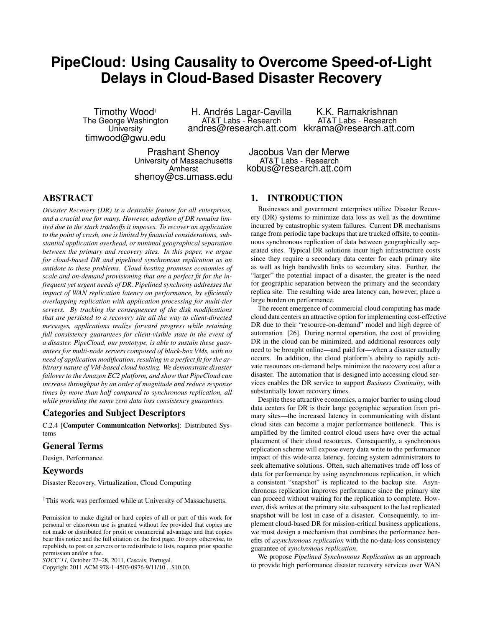# **PipeCloud: Using Causality to Overcome Speed-of-Light Delays in Cloud-Based Disaster Recovery**

Timothy Wood† The George Washington **University** timwood@gwu.edu

H. Andrés Lagar-Cavilla AT&T Labs - Research

andres@research.att.com kkrama@research.att.com K.K. Ramakrishnan AT&T Labs - Research

Prashant Shenoy University of Massachusetts Amherst shenoy@cs.umass.edu

Jacobus Van der Merwe AT&T Labs - Research kobus@research.att.com

# ABSTRACT

*Disaster Recovery (DR) is a desirable feature for all enterprises, and a crucial one for many. However, adoption of DR remains limited due to the stark tradeoffs it imposes. To recover an application to the point of crash, one is limited by financial considerations, substantial application overhead, or minimal geographical separation between the primary and recovery sites. In this paper, we argue for cloud-based DR and pipelined synchronous replication as an antidote to these problems. Cloud hosting promises economies of scale and on-demand provisioning that are a perfect fit for the infrequent yet urgent needs of DR. Pipelined synchrony addresses the impact of WAN replication latency on performance, by efficiently overlapping replication with application processing for multi-tier servers. By tracking the consequences of the disk modifications that are persisted to a recovery site all the way to client-directed messages, applications realize forward progress while retaining full consistency guarantees for client-visible state in the event of a disaster. PipeCloud, our prototype, is able to sustain these guarantees for multi-node servers composed of black-box VMs, with no need of application modification, resulting in a perfect fit for the arbitrary nature of VM-based cloud hosting. We demonstrate disaster failover to the Amazon EC2 platform, and show that PipeCloud can increase throughput by an order of magnitude and reduce response times by more than half compared to synchronous replication, all while providing the same zero data loss consistency guarantees.*

#### Categories and Subject Descriptors

C.2.4 [Computer Communication Networks]: Distributed Systems

#### General Terms

Design, Performance

## Keywords

Disaster Recovery, Virtualization, Cloud Computing

†This work was performed while at University of Massachusetts.

*SOCC'11,* October 27–28, 2011, Cascais, Portugal.

Copyright 2011 ACM 978-1-4503-0976-9/11/10 ...\$10.00.

## 1. INTRODUCTION

Businesses and government enterprises utilize Disaster Recovery (DR) systems to minimize data loss as well as the downtime incurred by catastrophic system failures. Current DR mechanisms range from periodic tape backups that are trucked offsite, to continuous synchronous replication of data between geographically separated sites. Typical DR solutions incur high infrastructure costs since they require a secondary data center for each primary site as well as high bandwidth links to secondary sites. Further, the "larger" the potential impact of a disaster, the greater is the need for geographic separation between the primary and the secondary replica site. The resulting wide area latency can, however, place a large burden on performance.

The recent emergence of commercial cloud computing has made cloud data centers an attractive option for implementing cost-effective DR due to their "resource-on-demand" model and high degree of automation [26]. During normal operation, the cost of providing DR in the cloud can be minimized, and additional resources only need to be brought online—and paid for—when a disaster actually occurs. In addition, the cloud platform's ability to rapidly activate resources on-demand helps minimize the recovery cost after a disaster. The automation that is designed into accessing cloud services enables the DR service to support *Business Continuity*, with substantially lower recovery times.

Despite these attractive economics, a major barrier to using cloud data centers for DR is their large geographic separation from primary sites—the increased latency in communicating with distant cloud sites can become a major performance bottleneck. This is amplified by the limited control cloud users have over the actual placement of their cloud resources. Consequently, a synchronous replication scheme will expose every data write to the performance impact of this wide-area latency, forcing system administrators to seek alternative solutions. Often, such alternatives trade off loss of data for performance by using asynchronous replication, in which a consistent "snapshot" is replicated to the backup site. Asynchronous replication improves performance since the primary site can proceed without waiting for the replication to complete. However, disk writes at the primary site subsequent to the last replicated snapshot will be lost in case of a disaster. Consequently, to implement cloud-based DR for mission-critical business applications, we must design a mechanism that combines the performance benefits of *asynchronous replication* with the no-data-loss consistency guarantee of *synchronous replication*.

We propose *Pipelined Synchronous Replication* as an approach to provide high performance disaster recovery services over WAN

Permission to make digital or hard copies of all or part of this work for personal or classroom use is granted without fee provided that copies are not made or distributed for profit or commercial advantage and that copies bear this notice and the full citation on the first page. To copy otherwise, to republish, to post on servers or to redistribute to lists, requires prior specific permission and/or a fee.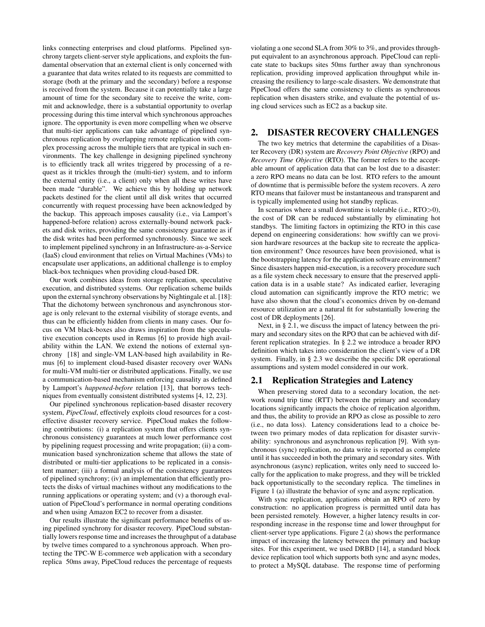links connecting enterprises and cloud platforms. Pipelined synchrony targets client-server style applications, and exploits the fundamental observation that an external client is only concerned with a guarantee that data writes related to its requests are committed to storage (both at the primary and the secondary) before a response is received from the system. Because it can potentially take a large amount of time for the secondary site to receive the write, commit and acknowledge, there is a substantial opportunity to overlap processing during this time interval which synchronous approaches ignore. The opportunity is even more compelling when we observe that multi-tier applications can take advantage of pipelined synchronous replication by overlapping remote replication with complex processing across the multiple tiers that are typical in such environments. The key challenge in designing pipelined synchrony is to efficiently track all writes triggered by processing of a request as it trickles through the (multi-tier) system, and to inform the external entity (i.e., a client) only when all these writes have been made "durable". We achieve this by holding up network packets destined for the client until all disk writes that occurred concurrently with request processing have been acknowledged by the backup. This approach imposes causality (i.e., via Lamport's happened-before relation) across externally-bound network packets and disk writes, providing the same consistency guarantee as if the disk writes had been performed synchronously. Since we seek to implement pipelined synchrony in an Infrastructure-as-a-Service (IaaS) cloud environment that relies on Virtual Machines (VMs) to encapsulate user applications, an additional challenge is to employ black-box techniques when providing cloud-based DR.

Our work combines ideas from storage replication, speculative execution, and distributed systems. Our replication scheme builds upon the external synchrony observations by Nightingale et al. [18]: That the dichotomy between synchronous and asynchronous storage is only relevant to the external visibility of storage events, and thus can be efficiently hidden from clients in many cases. Our focus on VM black-boxes also draws inspiration from the speculative execution concepts used in Remus [6] to provide high availability within the LAN. We extend the notions of external synchrony [18] and single-VM LAN-based high availability in Remus [6] to implement cloud-based disaster recovery over WANs for multi-VM multi-tier or distributed applications. Finally, we use a communication-based mechanism enforcing causality as defined by Lamport's *happened-before* relation [13], that borrows techniques from eventually consistent distributed systems [4, 12, 23].

Our pipelined synchronous replication-based disaster recovery system, *PipeCloud*, effectively exploits cloud resources for a costeffective disaster recovery service. PipeCloud makes the following contributions: (i) a replication system that offers clients synchronous consistency guarantees at much lower performance cost by pipelining request processing and write propagation; (ii) a communication based synchronization scheme that allows the state of distributed or multi-tier applications to be replicated in a consistent manner; (iii) a formal analysis of the consistency guarantees of pipelined synchrony; (iv) an implementation that efficiently protects the disks of virtual machines without any modifications to the running applications or operating system; and (v) a thorough evaluation of PipeCloud's performance in normal operating conditions and when using Amazon EC2 to recover from a disaster.

Our results illustrate the significant performance benefits of using pipelined synchrony for disaster recovery. PipeCloud substantially lowers response time and increases the throughput of a database by twelve times compared to a synchronous approach. When protecting the TPC-W E-commerce web application with a secondary replica 50ms away, PipeCloud reduces the percentage of requests

violating a one second SLA from 30% to 3%, and provides throughput equivalent to an asynchronous approach. PipeCloud can replicate state to backups sites 50ms further away than synchronous replication, providing improved application throughput while increasing the resiliency to large-scale disasters. We demonstrate that PipeCloud offers the same consistency to clients as synchronous replication when disasters strike, and evaluate the potential of using cloud services such as EC2 as a backup site.

# 2. DISASTER RECOVERY CHALLENGES

The two key metrics that determine the capabilities of a Disaster Recovery (DR) system are *Recovery Point Objective* (RPO) and *Recovery Time Objective* (RTO). The former refers to the acceptable amount of application data that can be lost due to a disaster: a zero RPO means no data can be lost. RTO refers to the amount of downtime that is permissible before the system recovers. A zero RTO means that failover must be instantaneous and transparent and is typically implemented using hot standby replicas.

In scenarios where a small downtime is tolerable (i.e., RTO>0), the cost of DR can be reduced substantially by eliminating hot standbys. The limiting factors in optimizing the RTO in this case depend on engineering considerations: how swiftly can we provision hardware resources at the backup site to recreate the application environment? Once resources have been provisioned, what is the bootstrapping latency for the application software environment? Since disasters happen mid-execution, is a recovery procedure such as a file system check necessary to ensure that the preserved application data is in a usable state? As indicated earlier, leveraging cloud automation can significantly improve the RTO metric; we have also shown that the cloud's economics driven by on-demand resource utilization are a natural fit for substantially lowering the cost of DR deployments [26].

Next, in § 2.1, we discuss the impact of latency between the primary and secondary sites on the RPO that can be achieved with different replication strategies. In § 2.2 we introduce a broader RPO definition which takes into consideration the client's view of a DR system. Finally, in § 2.3 we describe the specific DR operational assumptions and system model considered in our work.

# 2.1 Replication Strategies and Latency

When preserving stored data to a secondary location, the network round trip time (RTT) between the primary and secondary locations significantly impacts the choice of replication algorithm, and thus, the ability to provide an RPO as close as possible to zero (i.e., no data loss). Latency considerations lead to a choice between two primary modes of data replication for disaster survivability: synchronous and asynchronous replication [9]. With synchronous (sync) replication, no data write is reported as complete until it has succeeded in both the primary and secondary sites. With asynchronous (async) replication, writes only need to succeed locally for the application to make progress, and they will be trickled back opportunistically to the secondary replica. The timelines in Figure 1 (a) illustrate the behavior of sync and async replication.

With sync replication, applications obtain an RPO of zero by construction: no application progress is permitted until data has been persisted remotely. However, a higher latency results in corresponding increase in the response time and lower throughput for client-server type applications. Figure 2 (a) shows the performance impact of increasing the latency between the primary and backup sites. For this experiment, we used DRBD [14], a standard block device replication tool which supports both sync and async modes, to protect a MySQL database. The response time of performing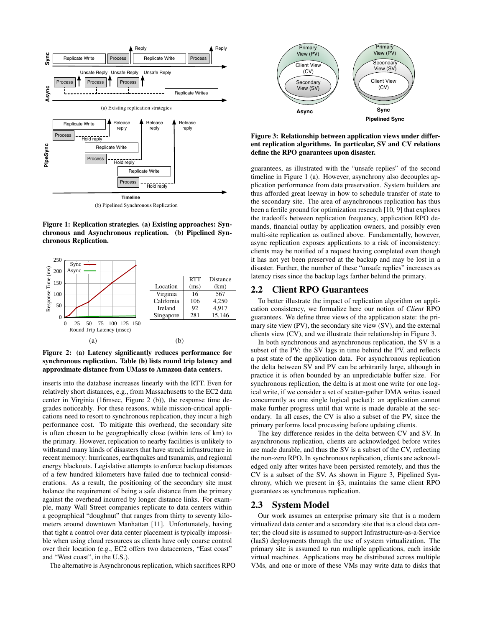

Figure 1: Replication strategies. (a) Existing approaches: Synchronous and Asynchronous replication. (b) Pipelined Synchronous Replication.



Figure 2: (a) Latency significantly reduces performance for synchronous replication. Table (b) lists round trip latency and approximate distance from UMass to Amazon data centers.

inserts into the database increases linearly with the RTT. Even for relatively short distances, e.g., from Massachusetts to the EC2 data center in Virginia (16msec, Figure 2 (b)), the response time degrades noticeably. For these reasons, while mission-critical applications need to resort to synchronous replication, they incur a high performance cost. To mitigate this overhead, the secondary site is often chosen to be geographically close (within tens of km) to the primary. However, replication to nearby facilities is unlikely to withstand many kinds of disasters that have struck infrastructure in recent memory: hurricanes, earthquakes and tsunamis, and regional energy blackouts. Legislative attempts to enforce backup distances of a few hundred kilometers have failed due to technical considerations. As a result, the positioning of the secondary site must balance the requirement of being a safe distance from the primary against the overhead incurred by longer distance links. For example, many Wall Street companies replicate to data centers within a geographical "doughnut" that ranges from thirty to seventy kilometers around downtown Manhattan [11]. Unfortunately, having that tight a control over data center placement is typically impossible when using cloud resources as clients have only coarse control over their location (e.g., EC2 offers two datacenters, "East coast" and "West coast", in the U.S.).

The alternative is Asynchronous replication, which sacrifices RPO



Figure 3: Relationship between application views under different replication algorithms. In particular, SV and CV relations define the RPO guarantees upon disaster.

guarantees, as illustrated with the "unsafe replies" of the second timeline in Figure 1 (a). However, asynchrony also decouples application performance from data preservation. System builders are thus afforded great leeway in how to schedule transfer of state to the secondary site. The area of asynchronous replication has thus been a fertile ground for optimization research [10, 9] that explores the tradeoffs between replication frequency, application RPO demands, financial outlay by application owners, and possibly even multi-site replication as outlined above. Fundamentally, however, async replication exposes applications to a risk of inconsistency: clients may be notified of a request having completed even though it has not yet been preserved at the backup and may be lost in a disaster. Further, the number of these "unsafe replies" increases as latency rises since the backup lags farther behind the primary.

## 2.2 Client RPO Guarantees

To better illustrate the impact of replication algorithm on application consistency, we formalize here our notion of *Client* RPO guarantees. We define three views of the application state: the primary site view (PV), the secondary site view (SV), and the external clients view (CV), and we illustrate their relationship in Figure 3.

In both synchronous and asynchronous replication, the SV is a subset of the PV: the SV lags in time behind the PV, and reflects a past state of the application data. For asynchronous replication the delta between SV and PV can be arbitrarily large, although in practice it is often bounded by an unpredictable buffer size. For synchronous replication, the delta is at most one write (or one logical write, if we consider a set of scatter-gather DMA writes issued concurrently as one single logical packet): an application cannot make further progress until that write is made durable at the secondary. In all cases, the CV is also a subset of the PV, since the primary performs local processing before updating clients.

The key difference resides in the delta between CV and SV. In asynchronous replication, clients are acknowledged before writes are made durable, and thus the SV is a subset of the CV, reflecting the non-zero RPO. In synchronous replication, clients are acknowledged only after writes have been persisted remotely, and thus the CV is a subset of the SV. As shown in Figure 3, Pipelined Synchrony, which we present in §3, maintains the same client RPO guarantees as synchronous replication.

# 2.3 System Model

Our work assumes an enterprise primary site that is a modern virtualized data center and a secondary site that is a cloud data center; the cloud site is assumed to support Infrastructure-as-a-Service (IaaS) deployments through the use of system virtualization. The primary site is assumed to run multiple applications, each inside virtual machines. Applications may be distributed across multiple VMs, and one or more of these VMs may write data to disks that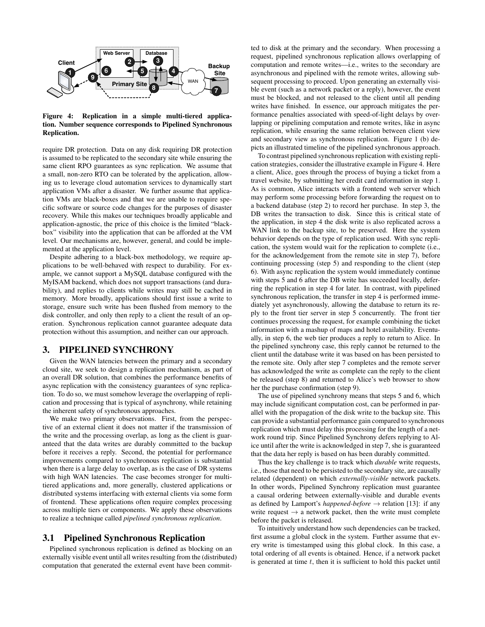

Figure 4: Replication in a simple multi-tiered application. Number sequence corresponds to Pipelined Synchronous Replication.

require DR protection. Data on any disk requiring DR protection is assumed to be replicated to the secondary site while ensuring the same client RPO guarantees as sync replication. We assume that a small, non-zero RTO can be tolerated by the application, allowing us to leverage cloud automation services to dynamically start application VMs after a disaster. We further assume that application VMs are black-boxes and that we are unable to require specific software or source code changes for the purposes of disaster recovery. While this makes our techniques broadly applicable and application-agnostic, the price of this choice is the limited "blackbox" visibility into the application that can be afforded at the VM level. Our mechanisms are, however, general, and could be implemented at the application level.

Despite adhering to a black-box methodology, we require applications to be well-behaved with respect to durability. For example, we cannot support a MySQL database configured with the MyISAM backend, which does not support transactions (and durability), and replies to clients while writes may still be cached in memory. More broadly, applications should first issue a write to storage, ensure such write has been flushed from memory to the disk controller, and only then reply to a client the result of an operation. Synchronous replication cannot guarantee adequate data protection without this assumption, and neither can our approach.

#### 3. PIPELINED SYNCHRONY

Given the WAN latencies between the primary and a secondary cloud site, we seek to design a replication mechanism, as part of an overall DR solution, that combines the performance benefits of async replication with the consistency guarantees of sync replication. To do so, we must somehow leverage the overlapping of replication and processing that is typical of asynchrony, while retaining the inherent safety of synchronous approaches.

We make two primary observations. First, from the perspective of an external client it does not matter if the transmission of the write and the processing overlap, as long as the client is guaranteed that the data writes are durably committed to the backup before it receives a reply. Second, the potential for performance improvements compared to synchronous replication is substantial when there is a large delay to overlap, as is the case of DR systems with high WAN latencies. The case becomes stronger for multitiered applications and, more generally, clustered applications or distributed systems interfacing with external clients via some form of frontend. These applications often require complex processing across multiple tiers or components. We apply these observations to realize a technique called *pipelined synchronous replication*.

#### 3.1 Pipelined Synchronous Replication

Pipelined synchronous replication is defined as blocking on an externally visible event until all writes resulting from the (distributed) computation that generated the external event have been committed to disk at the primary and the secondary. When processing a request, pipelined synchronous replication allows overlapping of computation and remote writes—i.e., writes to the secondary are asynchronous and pipelined with the remote writes, allowing subsequent processing to proceed. Upon generating an externally visible event (such as a network packet or a reply), however, the event must be blocked, and not released to the client until all pending writes have finished. In essence, our approach mitigates the performance penalties associated with speed-of-light delays by overlapping or pipelining computation and remote writes, like in async replication, while ensuring the same relation between client view and secondary view as synchronous replication. Figure 1 (b) depicts an illustrated timeline of the pipelined synchronous approach.

To contrast pipelined synchronous replication with existing replication strategies, consider the illustrative example in Figure 4. Here a client, Alice, goes through the process of buying a ticket from a travel website, by submitting her credit card information in step 1. As is common, Alice interacts with a frontend web server which may perform some processing before forwarding the request on to a backend database (step 2) to record her purchase. In step 3, the DB writes the transaction to disk. Since this is critical state of the application, in step 4 the disk write is also replicated across a WAN link to the backup site, to be preserved. Here the system behavior depends on the type of replication used. With sync replication, the system would wait for the replication to complete (i.e., for the acknowledgement from the remote site in step 7), before continuing processing (step 5) and responding to the client (step 6). With async replication the system would immediately continue with steps 5 and 6 after the DB write has succeeded locally, deferring the replication in step 4 for later. In contrast, with pipelined synchronous replication, the transfer in step 4 is performed immediately yet asynchronously, allowing the database to return its reply to the front tier server in step 5 concurrently. The front tier continues processing the request, for example combining the ticket information with a mashup of maps and hotel availability. Eventually, in step 6, the web tier produces a reply to return to Alice. In the pipelined synchrony case, this reply cannot be returned to the client until the database write it was based on has been persisted to the remote site. Only after step 7 completes and the remote server has acknowledged the write as complete can the reply to the client be released (step 8) and returned to Alice's web browser to show her the purchase confirmation (step 9).

The use of pipelined synchrony means that steps 5 and 6, which may include significant computation cost, can be performed in parallel with the propagation of the disk write to the backup site. This can provide a substantial performance gain compared to synchronous replication which must delay this processing for the length of a network round trip. Since Pipelined Synchrony defers replying to Alice until after the write is acknowledged in step 7, she is guaranteed that the data her reply is based on has been durably committed.

Thus the key challenge is to track which *durable* write requests, i.e., those that need to be persisted to the secondary site, are causally related (dependent) on which *externally-visible* network packets. In other words, Pipelined Synchrony replication must guarantee a causal ordering between externally-visible and durable events as defined by Lamport's *happened-before*  $\rightarrow$  relation [13]: if any write request  $\rightarrow$  a network packet, then the write must complete before the packet is released.

To intuitively understand how such dependencies can be tracked, first assume a global clock in the system. Further assume that every write is timestamped using this global clock. In this case, a total ordering of all events is obtained. Hence, if a network packet is generated at time  $t$ , then it is sufficient to hold this packet until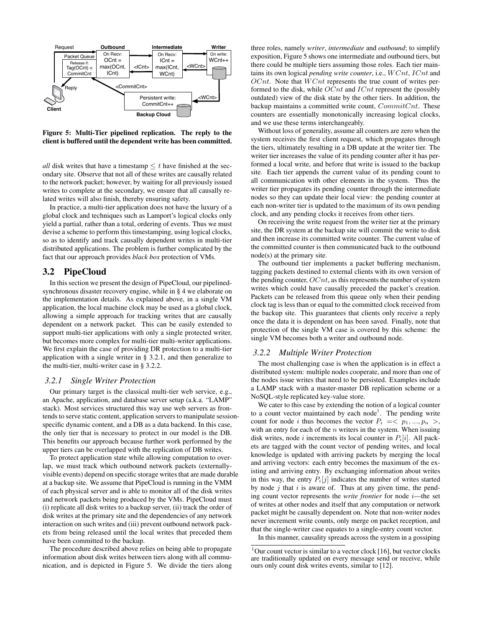

Figure 5: Multi-Tier pipelined replication. The reply to the client is buffered until the dependent write has been committed.

*all* disk writes that have a timestamp  $\leq t$  have finished at the secondary site. Observe that not all of these writes are causally related to the network packet; however, by waiting for all previously issued writes to complete at the secondary, we ensure that all causally related writes will also finish, thereby ensuring safety.

In practice, a multi-tier application does not have the luxury of a global clock and techniques such as Lamport's logical clocks only yield a partial, rather than a total, ordering of events. Thus we must devise a scheme to perform this timestamping, using logical clocks, so as to identify and track causally dependent writes in multi-tier distributed applications. The problem is further complicated by the fact that our approach provides *black box* protection of VMs.

#### 3.2 PipeCloud

In this section we present the design of PipeCloud, our pipelinedsynchronous disaster recovery engine, while in § 4 we elaborate on the implementation details. As explained above, in a single VM application, the local machine clock may be used as a global clock, allowing a simple approach for tracking writes that are causally dependent on a network packet. This can be easily extended to support multi-tier applications with only a single protected writer, but becomes more complex for multi-tier multi-writer applications. We first explain the case of providing DR protection to a multi-tier application with a single writer in § 3.2.1, and then generalize to the multi-tier, multi-writer case in § 3.2.2.

#### *3.2.1 Single Writer Protection*

Our primary target is the classical multi-tier web service, e.g., an Apache, application, and database server setup (a.k.a. "LAMP" stack). Most services structured this way use web servers as frontends to serve static content, application servers to manipulate sessionspecific dynamic content, and a DB as a data backend. In this case, the only tier that is necessary to protect in our model is the DB. This benefits our approach because further work performed by the upper tiers can be overlapped with the replication of DB writes.

To protect application state while allowing computation to overlap, we must track which outbound network packets (externallyvisible events) depend on specific storage writes that are made durable at a backup site. We assume that PipeCloud is running in the VMM of each physical server and is able to monitor all of the disk writes and network packets being produced by the VMs. PipeCloud must (i) replicate all disk writes to a backup server, (ii) track the order of disk writes at the primary site and the dependencies of any network interaction on such writes and (iii) prevent outbound network packets from being released until the local writes that preceded them have been committed to the backup.

The procedure described above relies on being able to propagate information about disk writes between tiers along with all communication, and is depicted in Figure 5. We divide the tiers along three roles, namely *writer*, *intermediate* and *outbound*; to simplify exposition, Figure 5 shows one intermediate and outbound tiers, but there could be multiple tiers assuming those roles. Each tier maintains its own logical *pending write counter*, i.e.,  $WCnt$ ,  $ICnt$  and  $OCnt$ . Note that  $WCnt$  represents the true count of writes performed to the disk, while  $OCnt$  and  $ICnt$  represent the (possibly outdated) view of the disk state by the other tiers. In addition, the backup maintains a committed write count,  $CommitCnt$ . These counters are essentially monotonically increasing logical clocks, and we use these terms interchangeably.

Without loss of generality, assume all counters are zero when the system receives the first client request, which propagates through the tiers, ultimately resulting in a DB update at the writer tier. The writer tier increases the value of its pending counter after it has performed a local write, and before that write is issued to the backup site. Each tier appends the current value of its pending count to all communication with other elements in the system. Thus the writer tier propagates its pending counter through the intermediate nodes so they can update their local view: the pending counter at each non-writer tier is updated to the maximum of its own pending clock, and any pending clocks it receives from other tiers.

On receiving the write request from the writer tier at the primary site, the DR system at the backup site will commit the write to disk and then increase its committed write counter. The current value of the committed counter is then communicated back to the outbound node(s) at the primary site.

The outbound tier implements a packet buffering mechanism, tagging packets destined to external clients with its own version of the pending counter,  $OCnt$ , as this represents the number of system writes which could have causally preceded the packet's creation. Packets can be released from this queue only when their pending clock tag is less than or equal to the committed clock received from the backup site. This guarantees that clients only receive a reply once the data it is dependent on has been saved. Finally, note that protection of the single VM case is covered by this scheme: the single VM becomes both a writer and outbound node.

#### *3.2.2 Multiple Writer Protection*

The most challenging case is when the application is in effect a distributed system: multiple nodes cooperate, and more than one of the nodes issue writes that need to be persisted. Examples include a LAMP stack with a master-master DB replication scheme or a NoSQL-style replicated key-value store.

We cater to this case by extending the notion of a logical counter to a count vector maintained by each node<sup>1</sup>. The pending write count for node i thus becomes the vector  $P_i = \langle p_1, ..., p_n \rangle$ , with an entry for each of the  $n$  writers in the system. When issuing disk writes, node *i* increments its local counter in  $P_i[i]$ . All packets are tagged with the count vector of pending writes, and local knowledge is updated with arriving packets by merging the local and arriving vectors: each entry becomes the maximum of the existing and arriving entry. By exchanging information about writes in this way, the entry  $P_i[j]$  indicates the number of writes started by node  $j$  that  $i$  is aware of. Thus at any given time, the pending count vector represents the *write frontier* for node i—the set of writes at other nodes and itself that any computation or network packet might be causally dependent on. Note that non-writer nodes never increment write counts, only merge on packet reception, and that the single-writer case equates to a single-entry count vector.

In this manner, causality spreads across the system in a gossiping

 $1$ Our count vector is similar to a vector clock [16], but vector clocks are traditionally updated on every message send or receive, while ours only count disk writes events, similar to [12].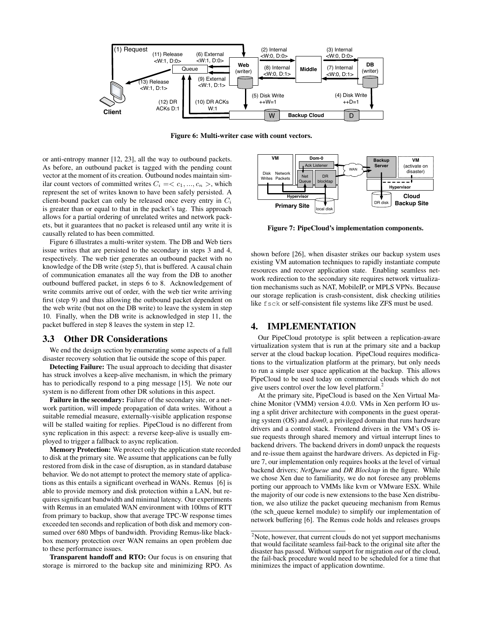

Figure 6: Multi-writer case with count vectors.

or anti-entropy manner [12, 23], all the way to outbound packets. As before, an outbound packet is tagged with the pending count vector at the moment of its creation. Outbound nodes maintain similar count vectors of committed writes  $C_i = \langle c_1, ..., c_n \rangle$ , which represent the set of writes known to have been safely persisted. A client-bound packet can only be released once every entry in  $C_i$ is greater than or equal to that in the packet's tag. This approach allows for a partial ordering of unrelated writes and network packets, but it guarantees that no packet is released until any write it is causally related to has been committed.

Figure 6 illustrates a multi-writer system. The DB and Web tiers issue writes that are persisted to the secondary in steps 3 and 4, respectively. The web tier generates an outbound packet with no knowledge of the DB write (step 5), that is buffered. A causal chain of communication emanates all the way from the DB to another outbound buffered packet, in steps 6 to 8. Acknowledgement of write commits arrive out of order, with the web tier write arriving first (step 9) and thus allowing the outbound packet dependent on the web write (but not on the DB write) to leave the system in step 10. Finally, when the DB write is acknowledged in step 11, the packet buffered in step 8 leaves the system in step 12.

#### 3.3 Other DR Considerations

We end the design section by enumerating some aspects of a full disaster recovery solution that lie outside the scope of this paper.

Detecting Failure: The usual approach to deciding that disaster has struck involves a keep-alive mechanism, in which the primary has to periodically respond to a ping message [15]. We note our system is no different from other DR solutions in this aspect.

Failure in the secondary: Failure of the secondary site, or a network partition, will impede propagation of data writes. Without a suitable remedial measure, externally-visible application response will be stalled waiting for replies. PipeCloud is no different from sync replication in this aspect: a reverse keep-alive is usually employed to trigger a fallback to async replication.

Memory Protection: We protect only the application state recorded to disk at the primary site. We assume that applications can be fully restored from disk in the case of disruption, as in standard database behavior. We do not attempt to protect the memory state of applications as this entails a significant overhead in WANs. Remus [6] is able to provide memory and disk protection within a LAN, but requires significant bandwidth and minimal latency. Our experiments with Remus in an emulated WAN environment with 100ms of RTT from primary to backup, show that average TPC-W response times exceeded ten seconds and replication of both disk and memory consumed over 680 Mbps of bandwidth. Providing Remus-like blackbox memory protection over WAN remains an open problem due to these performance issues.

Transparent handoff and RTO: Our focus is on ensuring that storage is mirrored to the backup site and minimizing RPO. As



Figure 7: PipeCloud's implementation components.

shown before [26], when disaster strikes our backup system uses existing VM automation techniques to rapidly instantiate compute resources and recover application state. Enabling seamless network redirection to the secondary site requires network virtualization mechanisms such as NAT, MobileIP, or MPLS VPNs. Because our storage replication is crash-consistent, disk checking utilities like fsck or self-consistent file systems like ZFS must be used.

# 4. IMPLEMENTATION

Our PipeCloud prototype is split between a replication-aware virtualization system that is run at the primary site and a backup server at the cloud backup location. PipeCloud requires modifications to the virtualization platform at the primary, but only needs to run a simple user space application at the backup. This allows PipeCloud to be used today on commercial clouds which do not give users control over the low level platform.<sup>2</sup>

At the primary site, PipeCloud is based on the Xen Virtual Machine Monitor (VMM) version 4.0.0. VMs in Xen perform IO using a split driver architecture with components in the guest operating system (OS) and *dom0*, a privileged domain that runs hardware drivers and a control stack. Frontend drivers in the VM's OS issue requests through shared memory and virtual interrupt lines to backend drivers. The backend drivers in dom0 unpack the requests and re-issue them against the hardware drivers. As depicted in Figure 7, our implementation only requires hooks at the level of virtual backend drivers; *NetQueue* and *DR Blocktap* in the figure. While we chose Xen due to familiarity, we do not foresee any problems porting our approach to VMMs like kvm or VMware ESX. While the majority of our code is new extensions to the base Xen distribution, we also utilize the packet queueing mechanism from Remus (the sch\_queue kernel module) to simplify our implementation of network buffering [6]. The Remus code holds and releases groups

<sup>&</sup>lt;sup>2</sup>Note, however, that current clouds do not yet support mechanisms that would facilitate seamless fail-back to the original site after the disaster has passed. Without support for migration *out* of the cloud, the fail-back procedure would need to be scheduled for a time that minimizes the impact of application downtime.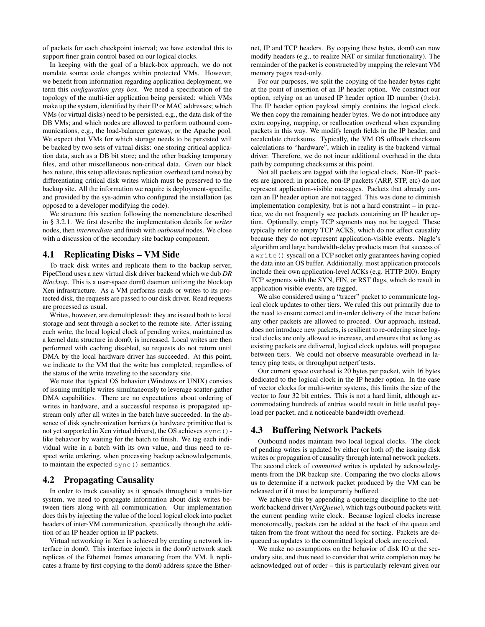of packets for each checkpoint interval; we have extended this to support finer grain control based on our logical clocks.

In keeping with the goal of a black-box approach, we do not mandate source code changes within protected VMs. However, we benefit from information regarding application deployment; we term this *configuration gray box*. We need a specification of the topology of the multi-tier application being persisted: which VMs make up the system, identified by their IP or MAC addresses; which VMs (or virtual disks) need to be persisted, e.g., the data disk of the DB VMs; and which nodes are allowed to perform outbound communications, e.g., the load-balancer gateway, or the Apache pool. We expect that VMs for which storage needs to be persisted will be backed by two sets of virtual disks: one storing critical application data, such as a DB bit store; and the other backing temporary files, and other miscellaneous non-critical data. Given our black box nature, this setup alleviates replication overhead (and noise) by differentiating critical disk writes which must be preserved to the backup site. All the information we require is deployment-specific, and provided by the sys-admin who configured the installation (as opposed to a developer modifying the code).

We structure this section following the nomenclature described in § 3.2.1. We first describe the implementation details for *writer* nodes, then *intermediate* and finish with *outbound* nodes. We close with a discussion of the secondary site backup component.

## 4.1 Replicating Disks – VM Side

To track disk writes and replicate them to the backup server, PipeCloud uses a new virtual disk driver backend which we dub *DR Blocktap*. This is a user-space dom0 daemon utilizing the blocktap Xen infrastructure. As a VM performs reads or writes to its protected disk, the requests are passed to our disk driver. Read requests are processed as usual.

Writes, however, are demultiplexed: they are issued both to local storage and sent through a socket to the remote site. After issuing each write, the local logical clock of pending writes, maintained as a kernel data structure in dom0, is increased. Local writes are then performed with caching disabled, so requests do not return until DMA by the local hardware driver has succeeded. At this point, we indicate to the VM that the write has completed, regardless of the status of the write traveling to the secondary site.

We note that typical OS behavior (Windows or UNIX) consists of issuing multiple writes simultaneously to leverage scatter-gather DMA capabilities. There are no expectations about ordering of writes in hardware, and a successful response is propagated upstream only after all writes in the batch have succeeded. In the absence of disk synchronization barriers (a hardware primitive that is not yet supported in Xen virtual drivers), the OS achieves sync() like behavior by waiting for the batch to finish. We tag each individual write in a batch with its own value, and thus need to respect write ordering, when processing backup acknowledgements, to maintain the expected sync() semantics.

#### 4.2 Propagating Causality

In order to track causality as it spreads throughout a multi-tier system, we need to propagate information about disk writes between tiers along with all communication. Our implementation does this by injecting the value of the local logical clock into packet headers of inter-VM communication, specifically through the addition of an IP header option in IP packets.

Virtual networking in Xen is achieved by creating a network interface in dom0. This interface injects in the dom0 network stack replicas of the Ethernet frames emanating from the VM. It replicates a frame by first copying to the dom0 address space the Ethernet, IP and TCP headers. By copying these bytes, dom0 can now modify headers (e.g., to realize NAT or similar functionality). The remainder of the packet is constructed by mapping the relevant VM memory pages read-only.

For our purposes, we split the copying of the header bytes right at the point of insertion of an IP header option. We construct our option, relying on an unused IP header option ID number  $(0 \times b)$ . The IP header option payload simply contains the logical clock. We then copy the remaining header bytes. We do not introduce any extra copying, mapping, or reallocation overhead when expanding packets in this way. We modify length fields in the IP header, and recalculate checksums. Typically, the VM OS offloads checksum calculations to "hardware", which in reality is the backend virtual driver. Therefore, we do not incur additional overhead in the data path by computing checksums at this point.

Not all packets are tagged with the logical clock. Non-IP packets are ignored; in practice, non-IP packets (ARP, STP, etc) do not represent application-visible messages. Packets that already contain an IP header option are not tagged. This was done to diminish implementation complexity, but is not a hard constraint – in practice, we do not frequently see packets containing an IP header option. Optionally, empty TCP segments may not be tagged. These typically refer to empty TCP ACKS, which do not affect causality because they do not represent application-visible events. Nagle's algorithm and large bandwidth-delay products mean that success of a write () syscall on a TCP socket only guarantees having copied the data into an OS buffer. Additionally, most application protocols include their own application-level ACKs (e.g. HTTP 200). Empty TCP segments with the SYN, FIN, or RST flags, which do result in application visible events, are tagged.

We also considered using a "tracer" packet to communicate logical clock updates to other tiers. We ruled this out primarily due to the need to ensure correct and in-order delivery of the tracer before any other packets are allowed to proceed. Our approach, instead, does not introduce new packets, is resilient to re-ordering since logical clocks are only allowed to increase, and ensures that as long as existing packets are delivered, logical clock updates will propagate between tiers. We could not observe measurable overhead in latency ping tests, or throughput netperf tests.

Our current space overhead is 20 bytes per packet, with 16 bytes dedicated to the logical clock in the IP header option. In the case of vector clocks for multi-writer systems, this limits the size of the vector to four 32 bit entries. This is not a hard limit, although accommodating hundreds of entries would result in little useful payload per packet, and a noticeable bandwidth overhead.

# 4.3 Buffering Network Packets

Outbound nodes maintain two local logical clocks. The clock of pending writes is updated by either (or both of) the issuing disk writes or propagation of causality through internal network packets. The second clock of *committed* writes is updated by acknowledgments from the DR backup site. Comparing the two clocks allows us to determine if a network packet produced by the VM can be released or if it must be temporarily buffered.

We achieve this by appending a queueing discipline to the network backend driver (*NetQueue*), which tags outbound packets with the current pending write clock. Because logical clocks increase monotonically, packets can be added at the back of the queue and taken from the front without the need for sorting. Packets are dequeued as updates to the committed logical clock are received.

We make no assumptions on the behavior of disk IO at the secondary site, and thus need to consider that write completion may be acknowledged out of order – this is particularly relevant given our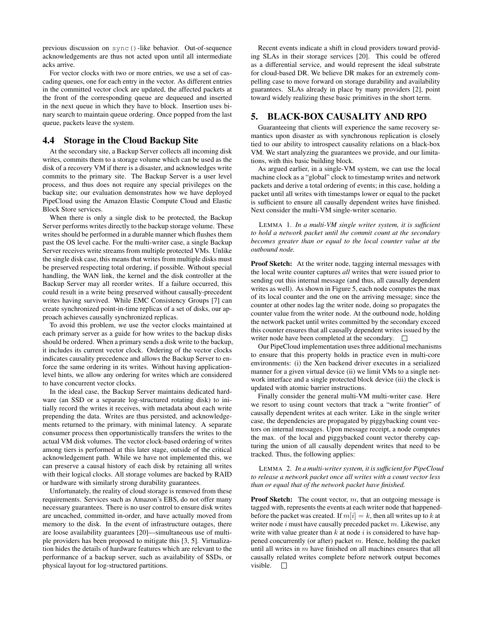previous discussion on sync()-like behavior. Out-of-sequence acknowledgements are thus not acted upon until all intermediate acks arrive.

For vector clocks with two or more entries, we use a set of cascading queues, one for each entry in the vector. As different entries in the committed vector clock are updated, the affected packets at the front of the corresponding queue are dequeued and inserted in the next queue in which they have to block. Insertion uses binary search to maintain queue ordering. Once popped from the last queue, packets leave the system.

# 4.4 Storage in the Cloud Backup Site

At the secondary site, a Backup Server collects all incoming disk writes, commits them to a storage volume which can be used as the disk of a recovery VM if there is a disaster, and acknowledges write commits to the primary site. The Backup Server is a user level process, and thus does not require any special privileges on the backup site; our evaluation demonstrates how we have deployed PipeCloud using the Amazon Elastic Compute Cloud and Elastic Block Store services.

When there is only a single disk to be protected, the Backup Server performs writes directly to the backup storage volume. These writes should be performed in a durable manner which flushes them past the OS level cache. For the multi-writer case, a single Backup Server receives write streams from multiple protected VMs. Unlike the single disk case, this means that writes from multiple disks must be preserved respecting total ordering, if possible. Without special handling, the WAN link, the kernel and the disk controller at the Backup Server may all reorder writes. If a failure occurred, this could result in a write being preserved without causally-precedent writes having survived. While EMC Consistency Groups [7] can create synchronized point-in-time replicas of a set of disks, our approach achieves causally synchronized replicas.

To avoid this problem, we use the vector clocks maintained at each primary server as a guide for how writes to the backup disks should be ordered. When a primary sends a disk write to the backup, it includes its current vector clock. Ordering of the vector clocks indicates causality precedence and allows the Backup Server to enforce the same ordering in its writes. Without having applicationlevel hints, we allow any ordering for writes which are considered to have concurrent vector clocks.

In the ideal case, the Backup Server maintains dedicated hardware (an SSD or a separate log-structured rotating disk) to initially record the writes it receives, with metadata about each write prepending the data. Writes are thus persisted, and acknowledgements returned to the primary, with minimal latency. A separate consumer process then opportunistically transfers the writes to the actual VM disk volumes. The vector clock-based ordering of writes among tiers is performed at this later stage, outside of the critical acknowledgement path. While we have not implemented this, we can preserve a causal history of each disk by retaining all writes with their logical clocks. All storage volumes are backed by RAID or hardware with similarly strong durability guarantees.

Unfortunately, the reality of cloud storage is removed from these requirements. Services such as Amazon's EBS, do not offer many necessary guarantees. There is no user control to ensure disk writes are uncached, committed in-order, and have actually moved from memory to the disk. In the event of infrastructure outages, there are loose availability guarantees [20]—simultaneous use of multiple providers has been proposed to mitigate this [3, 5]. Virtualization hides the details of hardware features which are relevant to the performance of a backup server, such as availability of SSDs, or physical layout for log-structured partitions.

Recent events indicate a shift in cloud providers toward providing SLAs in their storage services [20]. This could be offered as a differential service, and would represent the ideal substrate for cloud-based DR. We believe DR makes for an extremely compelling case to move forward on storage durability and availability guarantees. SLAs already in place by many providers [2], point toward widely realizing these basic primitives in the short term.

# 5. BLACK-BOX CAUSALITY AND RPO

Guaranteeing that clients will experience the same recovery semantics upon disaster as with synchronous replication is closely tied to our ability to introspect causality relations on a black-box VM. We start analyzing the guarantees we provide, and our limitations, with this basic building block.

As argued earlier, in a single-VM system, we can use the local machine clock as a "global" clock to timestamp writes and network packets and derive a total ordering of events; in this case, holding a packet until all writes with timestamps lower or equal to the packet is sufficient to ensure all causally dependent writes have finished. Next consider the multi-VM single-writer scenario.

LEMMA 1. *In a multi-VM single writer system, it is sufficient to hold a network packet until the commit count at the secondary becomes greater than or equal to the local counter value at the outbound node.*

Proof Sketch: At the writer node, tagging internal messages with the local write counter captures *all* writes that were issued prior to sending out this internal message (and thus, all causally dependent writes as well). As shown in Figure 5, each node computes the max of its local counter and the one on the arriving message; since the counter at other nodes lag the writer node, doing so propagates the counter value from the writer node. At the outbound node, holding the network packet until writes committed by the secondary exceed this counter ensures that all causally dependent writes issued by the writer node have been completed at the secondary.  $\square$ 

Our PipeCloud implementation uses three additional mechanisms to ensure that this property holds in practice even in multi-core environments: (i) the Xen backend driver executes in a serialized manner for a given virtual device (ii) we limit VMs to a single network interface and a single protected block device (iii) the clock is updated with atomic barrier instructions.

Finally consider the general multi-VM multi-writer case. Here we resort to using count vectors that track a "write frontier" of causally dependent writes at each writer. Like in the single writer case, the dependencies are propagated by piggybacking count vectors on internal messages. Upon message receipt, a node computes the max. of the local and piggybacked count vector thereby capturing the union of all causally dependent writes that need to be tracked. Thus, the following applies:

#### LEMMA 2. *In a multi-writer system, it is sufficient for PipeCloud to release a network packet once all writes with a count vector less than or equal that of the network packet have finished.*

**Proof Sketch:** The count vector,  $m$ , that an outgoing message is tagged with, represents the events at each writer node that happenedbefore the packet was created. If  $m[i] = k$ , then all writes up to k at writer node  $i$  must have causally preceded packet  $m$ . Likewise, any write with value greater than  $k$  at node  $i$  is considered to have happened concurrently (or after) packet  $m$ . Hence, holding the packet until all writes in  $m$  have finished on all machines ensures that all causally related writes complete before network output becomes visible.  $\square$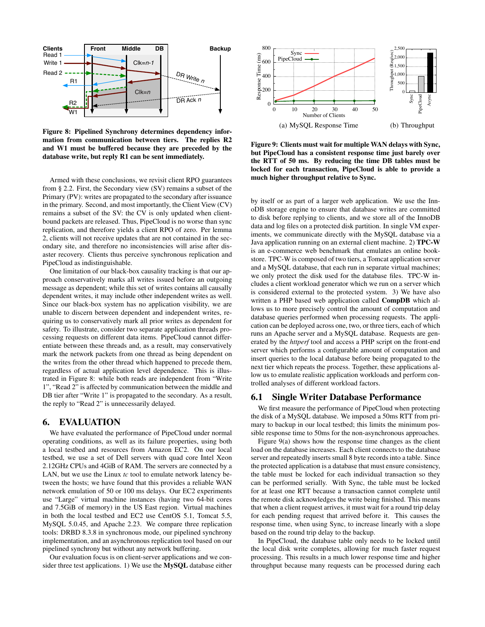

Figure 8: Pipelined Synchrony determines dependency information from communication between tiers. The replies R2 and W1 must be buffered because they are preceded by the database write, but reply R1 can be sent immediately.

Armed with these conclusions, we revisit client RPO guarantees from § 2.2. First, the Secondary view (SV) remains a subset of the Primary (PV): writes are propagated to the secondary after issuance in the primary. Second, and most importantly, the Client View (CV) remains a subset of the SV: the CV is only updated when clientbound packets are released. Thus, PipeCloud is no worse than sync replication, and therefore yields a client RPO of zero. Per lemma 2, clients will not receive updates that are not contained in the secondary site, and therefore no inconsistencies will arise after disaster recovery. Clients thus perceive synchronous replication and PipeCloud as indistinguishable.

One limitation of our black-box causality tracking is that our approach conservatively marks all writes issued before an outgoing message as dependent; while this set of writes contains all causally dependent writes, it may include other independent writes as well. Since our black-box system has no application visibility, we are unable to discern between dependent and independent writes, requiring us to conservatively mark all prior writes as dependent for safety. To illustrate, consider two separate application threads processing requests on different data items. PipeCloud cannot differentiate between these threads and, as a result, may conservatively mark the network packets from one thread as being dependent on the writes from the other thread which happened to precede them, regardless of actual application level dependence. This is illustrated in Figure 8: while both reads are independent from "Write 1", "Read 2" is affected by communication between the middle and DB tier after "Write 1" is propagated to the secondary. As a result, the reply to "Read 2" is unnecessarily delayed.

#### 6. EVALUATION

We have evaluated the performance of PipeCloud under normal operating conditions, as well as its failure properties, using both a local testbed and resources from Amazon EC2. On our local testbed, we use a set of Dell servers with quad core Intel Xeon 2.12GHz CPUs and 4GiB of RAM. The servers are connected by a LAN, but we use the Linux *tc* tool to emulate network latency between the hosts; we have found that this provides a reliable WAN network emulation of 50 or 100 ms delays. Our EC2 experiments use "Large" virtual machine instances (having two 64-bit cores and 7.5GiB of memory) in the US East region. Virtual machines in both the local testbed and EC2 use CentOS 5.1, Tomcat 5.5, MySQL 5.0.45, and Apache 2.23. We compare three replication tools: DRBD 8.3.8 in synchronous mode, our pipelined synchrony implementation, and an asynchronous replication tool based on our pipelined synchrony but without any network buffering.

Our evaluation focus is on client-server applications and we consider three test applications. 1) We use the MySQL database either



Figure 9: Clients must wait for multiple WAN delays with Sync, but PipeCloud has a consistent response time just barely over the RTT of 50 ms. By reducing the time DB tables must be locked for each transaction, PipeCloud is able to provide a much higher throughput relative to Sync.

by itself or as part of a larger web application. We use the InnoDB storage engine to ensure that database writes are committed to disk before replying to clients, and we store all of the InnoDB data and log files on a protected disk partition. In single VM experiments, we communicate directly with the MySQL database via a Java application running on an external client machine. 2) TPC-W is an e-commerce web benchmark that emulates an online bookstore. TPC-W is composed of two tiers, a Tomcat application server and a MySQL database, that each run in separate virtual machines; we only protect the disk used for the database files. TPC-W includes a client workload generator which we run on a server which is considered external to the protected system. 3) We have also written a PHP based web application called CompDB which allows us to more precisely control the amount of computation and database queries performed when processing requests. The application can be deployed across one, two, or three tiers, each of which runs an Apache server and a MySQL database. Requests are generated by the *httperf* tool and access a PHP script on the front-end server which performs a configurable amount of computation and insert queries to the local database before being propagated to the next tier which repeats the process. Together, these applications allow us to emulate realistic application workloads and perform controlled analyses of different workload factors.

#### 6.1 Single Writer Database Performance

We first measure the performance of PipeCloud when protecting the disk of a MySQL database. We imposed a 50ms RTT from primary to backup in our local testbed; this limits the minimum possible response time to 50ms for the non-asynchronous approaches.

Figure 9(a) shows how the response time changes as the client load on the database increases. Each client connects to the database server and repeatedly inserts small 8 byte records into a table. Since the protected application is a database that must ensure consistency, the table must be locked for each individual transaction so they can be performed serially. With Sync, the table must be locked for at least one RTT because a transaction cannot complete until the remote disk acknowledges the write being finished. This means that when a client request arrives, it must wait for a round trip delay for each pending request that arrived before it. This causes the response time, when using Sync, to increase linearly with a slope based on the round trip delay to the backup.

In PipeCloud, the database table only needs to be locked until the local disk write completes, allowing for much faster request processing. This results in a much lower response time and higher throughput because many requests can be processed during each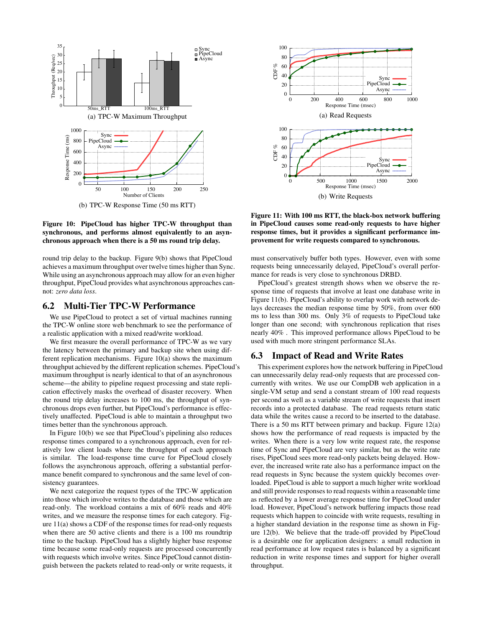

Figure 10: PipeCloud has higher TPC-W throughput than synchronous, and performs almost equivalently to an asynchronous approach when there is a 50 ms round trip delay.

round trip delay to the backup. Figure 9(b) shows that PipeCloud achieves a maximum throughput over twelve times higher than Sync. While using an asynchronous approach may allow for an even higher throughput, PipeCloud provides what asynchronous approaches cannot: *zero data loss*.

# 6.2 Multi-Tier TPC-W Performance

We use PipeCloud to protect a set of virtual machines running the TPC-W online store web benchmark to see the performance of a realistic application with a mixed read/write workload.

We first measure the overall performance of TPC-W as we vary the latency between the primary and backup site when using different replication mechanisms. Figure 10(a) shows the maximum throughput achieved by the different replication schemes. PipeCloud's maximum throughput is nearly identical to that of an asynchronous scheme—the ability to pipeline request processing and state replication effectively masks the overhead of disaster recovery. When the round trip delay increases to 100 ms, the throughput of synchronous drops even further, but PipeCloud's performance is effectively unaffected. PipeCloud is able to maintain a throughput two times better than the synchronous approach.

In Figure 10(b) we see that PipeCloud's pipelining also reduces response times compared to a synchronous approach, even for relatively low client loads where the throughput of each approach is similar. The load-response time curve for PipeCloud closely follows the asynchronous approach, offering a substantial performance benefit compared to synchronous and the same level of consistency guarantees.

We next categorize the request types of the TPC-W application into those which involve writes to the database and those which are read-only. The workload contains a mix of 60% reads and 40% writes, and we measure the response times for each category. Figure 11(a) shows a CDF of the response times for read-only requests when there are 50 active clients and there is a 100 ms roundtrip time to the backup. PipeCloud has a slightly higher base response time because some read-only requests are processed concurrently with requests which involve writes. Since PipeCloud cannot distinguish between the packets related to read-only or write requests, it



Figure 11: With 100 ms RTT, the black-box network buffering in PipeCloud causes some read-only requests to have higher response times, but it provides a significant performance improvement for write requests compared to synchronous.

must conservatively buffer both types. However, even with some requests being unnecessarily delayed, PipeCloud's overall performance for reads is very close to synchronous DRBD.

PipeCloud's greatest strength shows when we observe the response time of requests that involve at least one database write in Figure 11(b). PipeCloud's ability to overlap work with network delays decreases the median response time by 50%, from over 600 ms to less than 300 ms. Only 3% of requests to PipeCloud take longer than one second; with synchronous replication that rises nearly 40% . This improved performance allows PipeCloud to be used with much more stringent performance SLAs.

## 6.3 Impact of Read and Write Rates

This experiment explores how the network buffering in PipeCloud can unnecessarily delay read-only requests that are processed concurrently with writes. We use our CompDB web application in a single-VM setup and send a constant stream of 100 read requests per second as well as a variable stream of write requests that insert records into a protected database. The read requests return static data while the writes cause a record to be inserted to the database. There is a 50 ms RTT between primary and backup. Figure 12(a) shows how the performance of read requests is impacted by the writes. When there is a very low write request rate, the response time of Sync and PipeCloud are very similar, but as the write rate rises, PipeCloud sees more read-only packets being delayed. However, the increased write rate also has a performance impact on the read requests in Sync because the system quickly becomes overloaded. PipeCloud is able to support a much higher write workload and still provide responses to read requests within a reasonable time as reflected by a lower average response time for PipeCloud under load. However, PipeCloud's network buffering impacts those read requests which happen to coincide with write requests, resulting in a higher standard deviation in the response time as shown in Figure 12(b). We believe that the trade-off provided by PipeCloud is a desirable one for application designers: a small reduction in read performance at low request rates is balanced by a significant reduction in write response times and support for higher overall throughput.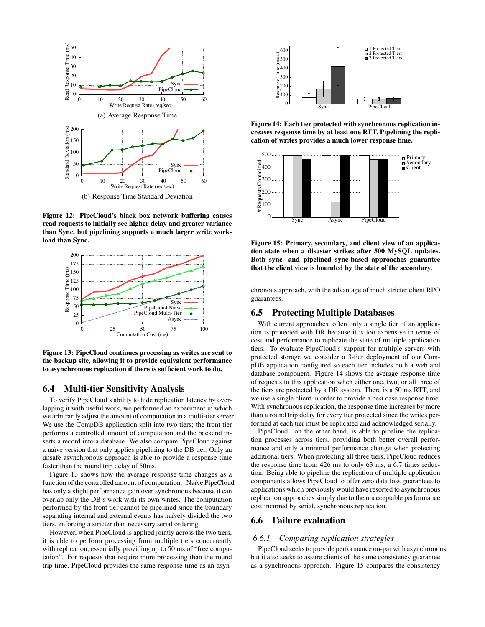

Figure 12: PipeCloud's black box network buffering causes read requests to initially see higher delay and greater variance than Sync, but pipelining supports a much larger write workload than Sync.



Figure 13: PipeCloud continues processing as writes are sent to the backup site, allowing it to provide equivalent performance to asynchronous replication if there is sufficient work to do.

# 6.4 Multi-tier Sensitivity Analysis

To verify PipeCloud's ability to hide replication latency by overlapping it with useful work, we performed an experiment in which we arbitrarily adjust the amount of computation in a multi-tier server. We use the CompDB application split into two tiers; the front tier performs a controlled amount of computation and the backend inserts a record into a database. We also compare PipeCloud against a naïve version that only applies pipelining to the DB tier. Only an unsafe asynchronous approach is able to provide a response time faster than the round trip delay of 50ms.

Figure 13 shows how the average response time changes as a function of the controlled amount of computation. Naïve PipeCloud has only a slight performance gain over synchronous because it can overlap only the DB's work with its own writes. The computation performed by the front tier cannot be pipelined since the boundary separating internal and external events has naïvely divided the two tiers, enforcing a stricter than necessary serial ordering.

However, when PipeCloud is applied jointly across the two tiers, it is able to perform processing from multiple tiers concurrently with replication, essentially providing up to 50 ms of "free computation". For requests that require more processing than the round trip time, PipeCloud provides the same response time as an asyn-



Figure 14: Each tier protected with synchronous replication increases response time by at least one RTT. Pipelining the replication of writes provides a much lower response time.



Figure 15: Primary, secondary, and client view of an application state when a disaster strikes after 500 MySQL updates. Both sync- and pipelined sync-based approaches guarantee that the client view is bounded by the state of the secondary.

chronous approach, with the advantage of much stricter client RPO guarantees.

#### 6.5 Protecting Multiple Databases

With current approaches, often only a single tier of an application is protected with DR because it is too expensive in terms of cost and performance to replicate the state of multiple application tiers. To evaluate PipeCloud's support for multiple servers with protected storage we consider a 3-tier deployment of our CompDB application configured so each tier includes both a web and database component. Figure 14 shows the average response time of requests to this application when either one, two, or all three of the tiers are protected by a DR system. There is a 50 ms RTT, and we use a single client in order to provide a best case response time. With synchronous replication, the response time increases by more than a round trip delay for every tier protected since the writes performed at each tier must be replicated and acknowledged serially.

PipeCloud on the other hand, is able to pipeline the replication processes across tiers, providing both better overall performance and only a minimal performance change when protecting additional tiers. When protecting all three tiers, PipeCloud reduces the response time from 426 ms to only 63 ms, a 6.7 times reduction. Being able to pipeline the replication of multiple application components allows PipeCloud to offer zero data loss guarantees to applications which previously would have resorted to asynchronous replication approaches simply due to the unacceptable performance cost incurred by serial, synchronous replication.

## 6.6 Failure evaluation

#### *6.6.1 Comparing replication strategies*

PipeCloud seeks to provide performance on-par with asynchronous, but it also seeks to assure clients of the same consistency guarantee as a synchronous approach. Figure 15 compares the consistency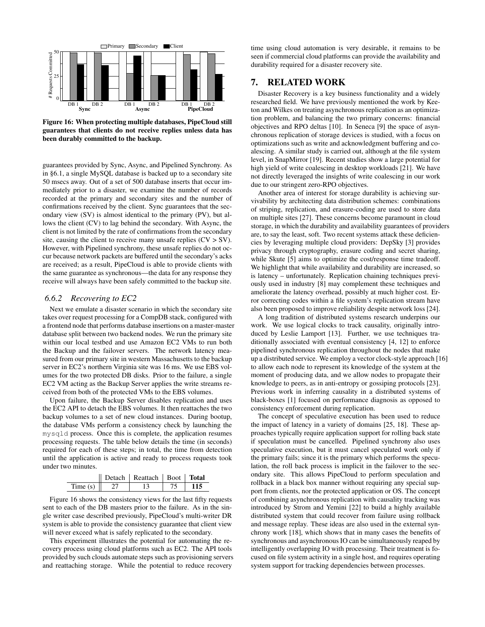

Figure 16: When protecting multiple databases, PipeCloud still guarantees that clients do not receive replies unless data has been durably committed to the backup.

guarantees provided by Sync, Async, and Pipelined Synchrony. As in §6.1, a single MySQL database is backed up to a secondary site 50 msecs away. Out of a set of 500 database inserts that occur immediately prior to a disaster, we examine the number of records recorded at the primary and secondary sites and the number of confirmations received by the client. Sync guarantees that the secondary view (SV) is almost identical to the primary (PV), but allows the client (CV) to lag behind the secondary. With Async, the client is not limited by the rate of confirmations from the secondary site, causing the client to receive many unsafe replies  $(CV > SV)$ . However, with Pipelined synchrony, these unsafe replies do not occur because network packets are buffered until the secondary's acks are received; as a result, PipeCloud is able to provide clients with the same guarantee as synchronous—the data for any response they receive will always have been safely committed to the backup site.

## *6.6.2 Recovering to EC2*

Next we emulate a disaster scenario in which the secondary site takes over request processing for a CompDB stack, configured with a frontend node that performs database insertions on a master-master database split between two backend nodes. We run the primary site within our local testbed and use Amazon EC2 VMs to run both the Backup and the failover servers. The network latency measured from our primary site in western Massachusetts to the backup server in EC2's northern Virginia site was 16 ms. We use EBS volumes for the two protected DB disks. Prior to the failure, a single EC2 VM acting as the Backup Server applies the write streams received from both of the protected VMs to the EBS volumes.

Upon failure, the Backup Server disables replication and uses the EC2 API to detach the EBS volumes. It then reattaches the two backup volumes to a set of new cloud instances. During bootup, the database VMs perform a consistency check by launching the mysqld process. Once this is complete, the application resumes processing requests. The table below details the time (in seconds) required for each of these steps; in total, the time from detection until the application is active and ready to process requests took under two minutes.

|         | Detach   Reattach   Boot   <b>Total</b> |  |
|---------|-----------------------------------------|--|
| Time(s) |                                         |  |

Figure 16 shows the consistency views for the last fifty requests sent to each of the DB masters prior to the failure. As in the single writer case described previously, PipeCloud's multi-writer DR system is able to provide the consistency guarantee that client view will never exceed what is safely replicated to the secondary.

This experiment illustrates the potential for automating the recovery process using cloud platforms such as EC2. The API tools provided by such clouds automate steps such as provisioning servers and reattaching storage. While the potential to reduce recovery

time using cloud automation is very desirable, it remains to be seen if commercial cloud platforms can provide the availability and durability required for a disaster recovery site.

# 7. RELATED WORK

Disaster Recovery is a key business functionality and a widely researched field. We have previously mentioned the work by Keeton and Wilkes on treating asynchronous replication as an optimization problem, and balancing the two primary concerns: financial objectives and RPO deltas [10]. In Seneca [9] the space of asynchronous replication of storage devices is studied, with a focus on optimizations such as write and acknowledgment buffering and coalescing. A similar study is carried out, although at the file system level, in SnapMirror [19]. Recent studies show a large potential for high yield of write coalescing in desktop workloads [21]. We have not directly leveraged the insights of write coalescing in our work due to our stringent zero-RPO objectives.

Another area of interest for storage durability is achieving survivability by architecting data distribution schemes: combinations of striping, replication, and erasure-coding are used to store data on multiple sites [27]. These concerns become paramount in cloud storage, in which the durability and availability guarantees of providers are, to say the least, soft. Two recent systems attack these deficiencies by leveraging multiple cloud providers: DepSky [3] provides privacy through cryptography, erasure coding and secret sharing, while Skute [5] aims to optimize the cost/response time tradeoff. We highlight that while availability and durability are increased, so is latency – unfortunately. Replication chaining techniques previously used in industry [8] may complement these techniques and ameliorate the latency overhead, possibly at much higher cost. Error correcting codes within a file system's replication stream have also been proposed to improve reliability despite network loss [24].

A long tradition of distributed systems research underpins our work. We use logical clocks to track causality, originally introduced by Leslie Lamport [13]. Further, we use techniques traditionally associated with eventual consistency [4, 12] to enforce pipelined synchronous replication throughout the nodes that make up a distributed service. We employ a vector clock-style approach [16] to allow each node to represent its knowledge of the system at the moment of producing data, and we allow nodes to propagate their knowledge to peers, as in anti-entropy or gossiping protocols [23]. Previous work in inferring causality in a distributed systems of black-boxes [1] focused on performance diagnosis as opposed to consistency enforcement during replication.

The concept of speculative execution has been used to reduce the impact of latency in a variety of domains [25, 18]. These approaches typically require application support for rolling back state if speculation must be cancelled. Pipelined synchrony also uses speculative execution, but it must cancel speculated work only if the primary fails; since it is the primary which performs the speculation, the roll back process is implicit in the failover to the secondary site. This allows PipeCloud to perform speculation and rollback in a black box manner without requiring any special support from clients, nor the protected application or OS. The concept of combining asynchronous replication with causality tracking was introduced by Strom and Yemini [22] to build a highly available distributed system that could recover from failure using rollback and message replay. These ideas are also used in the external synchrony work [18], which shows that in many cases the benefits of synchronous and asynchronous IO can be simultaneously reaped by intelligently overlapping IO with processing. Their treatment is focused on file system activity in a single host, and requires operating system support for tracking dependencies between processes.